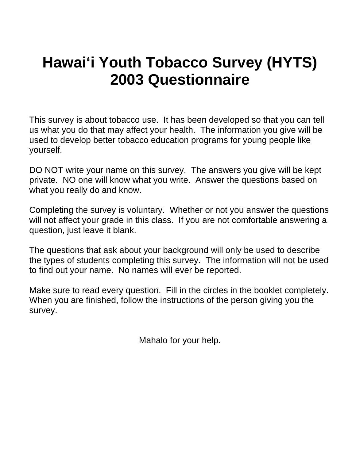# **Hawai'i Youth Tobacco Survey (HYTS) 2003 Questionnaire**

This survey is about tobacco use. It has been developed so that you can tell us what you do that may affect your health. The information you give will be used to develop better tobacco education programs for young people like yourself.

DO NOT write your name on this survey. The answers you give will be kept private. NO one will know what you write. Answer the questions based on what you really do and know.

Completing the survey is voluntary. Whether or not you answer the questions will not affect your grade in this class. If you are not comfortable answering a question, just leave it blank.

The questions that ask about your background will only be used to describe the types of students completing this survey. The information will not be used to find out your name. No names will ever be reported.

Make sure to read every question. Fill in the circles in the booklet completely. When you are finished, follow the instructions of the person giving you the survey.

Mahalo for your help.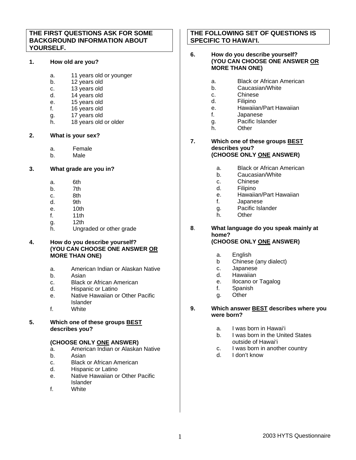## **THE FIRST QUESTIONS ASK FOR SOME BACKGROUND INFORMATION ABOUT YOURSELF.**

## **1. How old are you?**

- a. 11 years old or younger
- b. 12 years old
- c. 13 years old
- d. 14 years old
- e. 15 years old
- f. 16 years old
- g. 17 years old
- h. 18 years old or older

## **2. What is your sex?**

- a. Female
- b. Male

# **3. What grade are you in?**

- a. 6th
- b. 7th
- c. 8th
- d. 9th
- e. 10th
- f. 11th
- g. 12th
- h. Ungraded or other grade

## **4. How do you describe yourself? (YOU CAN CHOOSE ONE ANSWER OR MORE THAN ONE)**

- a. American Indian or Alaskan Native
- b. Asian
- c. Black or African American
- d. Hispanic or Latino
- e. Native Hawaiian or Other Pacific Islander
- f. White
- **5. Which one of these groups BEST describes you?**

#### **(CHOOSE ONLY ONE ANSWER)**

- a. American Indian or Alaskan Native
- b. Asian
- c. Black or African American
- d. Hispanic or Latino
- e. Native Hawaiian or Other Pacific Islander
- f. White

# **THE FOLLOWING SET OF QUESTIONS IS SPECIFIC TO HAWAI'I.**

## **6. How do you describe yourself? (YOU CAN CHOOSE ONE ANSWER OR MORE THAN ONE)**

- a. Black or African American
- b. Caucasian/White
- c. Chinese
- d. Filipino
- e. Hawaiian/Part Hawaiian
- f. Japanese
- g. Pacific Islander
- h. Other

#### **7. Which one of these groups BEST describes you? (CHOOSE ONLY ONE ANSWER)**

- a. Black or African American
- b. Caucasian/White
- c. Chinese
- d. Filipino
- e. Hawaiian/Part Hawaiian
- f. Japanese
- g. Pacific Islander
- h. Other

#### **8**. **What language do you speak mainly at home? (CHOOSE ONLY ONE ANSWER)**

- a. English
- b Chinese (any dialect)
- c. Japanese
- d. Hawaiian
- e. Ilocano or Tagalog
- f. Spanish
- g. Other

#### **9. Which answer BEST describes where you were born?**

- a. I was born in Hawai'i
- b. I was born in the United States outside of Hawai'i
- c. I was born in another country
- d. I don't know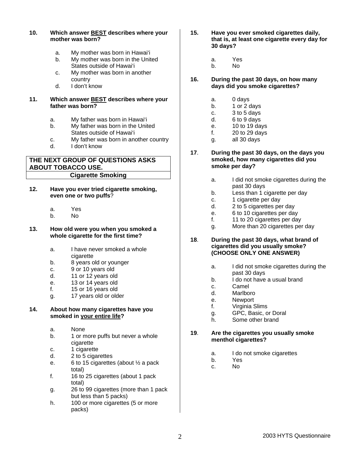| My mother was born in the United<br>States outside of Hawai'i | а. |
|---------------------------------------------------------------|----|
| My mother was born in another                                 |    |
| 16.                                                           | Dι |
|                                                               | da |
|                                                               |    |

## **11. Which answer BEST describes where your father was born?**

**10. Which answer BEST describes where your** 

a. My mother was born in Hawai'i

**mother was born?**

- a. My father was born in Hawai'i
- b. My father was born in the United States outside of Hawai'i
- c. My father was born in another country
- d. I don't know

# **THE NEXT GROUP OF QUESTIONS ASKS ABOUT TOBACCO USE. Cigarette Smoking**

- **12. Have you ever tried cigarette smoking, even one or two puffs**?
	- a. Yes
	- b. No
- **13. How old were you when you smoked a whole cigarette for the first time?** 
	- a. I have never smoked a whole cigarette
	- b. 8 years old or younger
	- c. 9 or 10 years old
	- d. 11 or 12 years old
	- e. 13 or 14 years old
	- f. 15 or 16 years old
	- g. 17 years old or older

## **14. About how many cigarettes have you smoked in your entire life?**

- a. None
- b. 1 or more puffs but never a whole cigarette
- c. 1 cigarette
- d. 2 to 5 cigarettes
- e. 6 to 15 cigarettes (about ½ a pack total)
- f. 16 to 25 cigarettes (about 1 pack total)
- g. 26 to 99 cigarettes (more than 1 pack but less than 5 packs)
- h. 100 or more cigarettes (5 or more packs)
- **15. Have you ever smoked cigarettes daily, that is, at least one cigarette every day for 30 days?** 
	- a. Yes
	- b. No
- **16. During the past 30 days, on how many days did you smoke cigarettes?**
	- a. 0 days
	- b. 1 or 2 days
	- c. 3 to 5 days
	- d. 6 to 9 days
	- e. 10 to 19 days
	- f. 20 to 29 days
	- g. all 30 days
- **17**. **During the past 30 days, on the days you smoked, how many cigarettes did you smoke per day?** 
	- a. I did not smoke cigarettes during the past 30 days
	- b. Less than 1 cigarette per day
	- c. 1 cigarette per day
	- d. 2 to 5 cigarettes per day
	- e. 6 to 10 cigarettes per day
	- f. 11 to 20 cigarettes per day
	- g. More than 20 cigarettes per day
- **18**. **During the past 30 days, what brand of cigarettes did you usually smoke? (CHOOSE ONLY ONE ANSWER)** 
	- a. I did not smoke cigarettes during the past 30 days
	- b. I do not have a usual brand
	- c. Camel
	- d. Marlboro
	- e. Newport
	- f. Virginia Slims
	- g. GPC, Basic, or Doral
	- h. Some other brand

## **19**. **Are the cigarettes you usually smoke menthol cigarettes?**

- a. I do not smoke cigarettes
- b. Yes
- c. No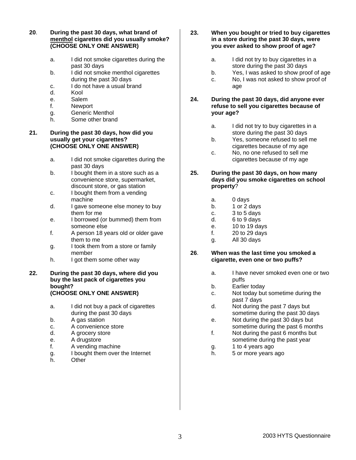**20**. **During the past 30 days, what brand of menthol cigarettes did you usually smoke? (CHOOSE ONLY ONE ANSWER)** 

- a. I did not smoke cigarettes during the past 30 days
- b. I did not smoke menthol cigarettes during the past 30 days
- c. I do not have a usual brand
- d. Kool
- e. Salem
- f. Newport
- g. Generic Menthol
- h. Some other brand

#### **21. During the past 30 days, how did you usually get your cigarettes? (CHOOSE ONLY ONE ANSWER)**

- a. I did not smoke cigarettes during the past 30 days
- b. I bought them in a store such as a convenience store, supermarket, discount store, or gas station
- c. I bought them from a vending machine
- d. I gave someone else money to buy them for me
- e. I borrowed (or bummed) them from someone else
- f. A person 18 years old or older gave them to me
- g. I took them from a store or family member
- h. I got them some other way

#### **22. During the past 30 days, where did you buy the last pack of cigarettes you bought? (CHOOSE ONLY ONE ANSWER)**

- a. I did not buy a pack of cigarettes during the past 30 days
- b. A gas station
- c. A convenience store
- d. A grocery store
- e. A drugstore
- f. A vending machine
- g. I bought them over the Internet
- h. Other

#### **23. When you bought or tried to buy cigarettes in a store during the past 30 days, were you ever asked to show proof of age?**

- a. I did not try to buy cigarettes in a store during the past 30 days
- b. Yes, I was asked to show proof of age
- c. No, I was not asked to show proof of age

## **24. During the past 30 days, did anyone ever refuse to sell you cigarettes because of your age?**

- a. I did not try to buy cigarettes in a store during the past 30 days
- b. Yes, someone refused to sell me cigarettes because of my age
- c. No, no one refused to sell me cigarettes because of my age
- **25. During the past 30 days, on how many days did you smoke cigarettes on school property**?
	- a. 0 days
	- b. 1 or 2 days
	- c. 3 to 5 days
	- d. 6 to 9 days
	- e. 10 to 19 days
	- f. 20 to 29 days
	- g. All 30 days
- **26**. **When was the last time you smoked a cigarette, even one or two puffs?** 
	- a. I have never smoked even one or two puffs
	- b. Earlier today
	- c. Not today but sometime during the past 7 days
	- d. Not during the past 7 days but sometime during the past 30 days
	- e. Not during the past 30 days but sometime during the past 6 months
	- f. Not during the past 6 months but sometime during the past year
	- g. 1 to 4 years ago
	- h. 5 or more years ago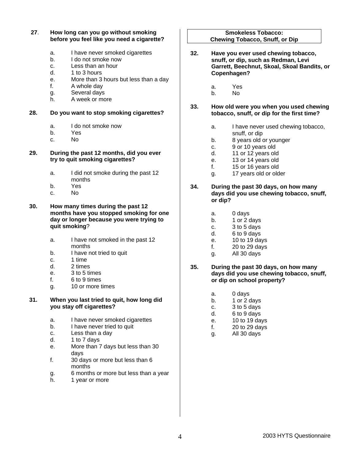#### **27**. **How long can you go without smoking before you feel like you need a cigarette?**

- a. I have never smoked cigarettes
- b. I do not smoke now
- c. Less than an hour
- d. 1 to 3 hours
- e. More than 3 hours but less than a day
- f. A whole day
- g. Several days
- h. A week or more

## **28. Do you want to stop smoking cigarettes?**

- a. I do not smoke now
- b. Yes
- c. No

#### **29. During the past 12 months, did you ever try to quit smoking cigarettes?**

- a. I did not smoke during the past 12 months
- b. Yes
- c. No

#### **30. How many times during the past 12 months have you stopped smoking for one day or longer because you were trying to quit smoking**?

- a. I have not smoked in the past 12 months
- b. I have not tried to quit
- c. 1 time
- d. 2 times
- e. 3 to 5 times
- f. 6 to 9 times
- g. 10 or more times

#### **31. When you last tried to quit, how long did you stay off cigarettes?**

- a. I have never smoked cigarettes
- b. I have never tried to quit
- c. Less than a day
- d. 1 to 7 days
- e. More than 7 days but less than 30 days
- f. 30 days or more but less than 6 months
- g. 6 months or more but less than a year
- h. 1 year or more

#### **Smokeless Tobacco: Chewing Tobacco, Snuff, or Dip**

- **32. Have you ever used chewing tobacco, snuff, or dip, such as Redman, Levi Garrett, Beechnut, Skoal, Skoal Bandits, or Copenhagen?**
	- a. Yes
	- b. No

#### **33. How old were you when you used chewing tobacco, snuff, or dip for the first time?**

- a. I have never used chewing tobacco, snuff, or dip
- b. 8 years old or younger
- c. 9 or 10 years old
- d. 11 or 12 years old
- e. 13 or 14 years old
- f. 15 or 16 years old
- g. 17 years old or older

#### **34. During the past 30 days, on how many days did you use chewing tobacco, snuff, or dip?**

- a. 0 days
- b. 1 or 2 days
- c. 3 to 5 days
- d. 6 to 9 days
- e. 10 to 19 days
- f. 20 to 29 days
- g. All 30 days

#### **35. During the past 30 days, on how many days did you use chewing tobacco, snuff, or dip on school property?**

- a. 0 days
- b. 1 or 2 days
- c. 3 to 5 days
- d. 6 to 9 days
- e. 10 to 19 days
- f. 20 to 29 days
- g. All 30 days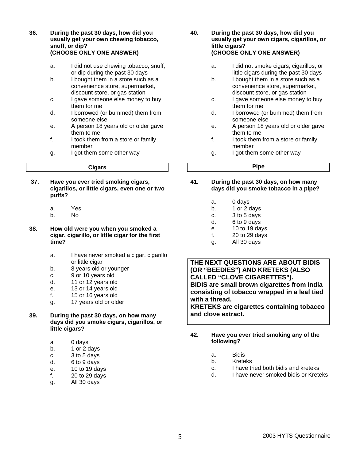**36. During the past 30 days, how did you usually get your own chewing tobacco, snuff, or dip? (CHOOSE ONLY ONE ANSWER)** 

- a. I did not use chewing tobacco, snuff, or dip during the past 30 days
- b. I bought them in a store such as a convenience store, supermarket, discount store, or gas station
- c. I gave someone else money to buy them for me
- d. I borrowed (or bummed) them from someone else
- e. A person 18 years old or older gave them to me
- f. I took them from a store or family member
- g. I got them some other way

#### **Cigars**

- **37. Have you ever tried smoking cigars, cigarillos, or little cigars, even one or two puffs?** 
	- a. Yes
	- b. No
- **38. How old were you when you smoked a cigar, cigarillo, or little cigar for the first time?** 
	- a. I have never smoked a cigar, cigarillo or little cigar
	- b. 8 years old or younger
	- c. 9 or 10 years old
	- d. 11 or 12 years old
	- e. 13 or 14 years old
	- f. 15 or 16 years old
	- g. 17 years old or older
- **39. During the past 30 days, on how many days did you smoke cigars, cigarillos, or little cigars?** 
	- a 0 days
	- b. 1 or 2 days
	- c. 3 to 5 days
	- d. 6 to 9 days
	- e. 10 to 19 days
	- f. 20 to 29 days
	- g. All 30 days
- **40. During the past 30 days, how did you usually get your own cigars, cigarillos, or little cigars? (CHOOSE ONLY ONE ANSWER)** 
	- a. I did not smoke cigars, cigarillos, or little cigars during the past 30 days
	- b. I bought them in a store such as a convenience store, supermarket, discount store, or gas station
	- c. I gave someone else money to buy them for me
	- d. I borrowed (or bummed) them from someone else
	- e. A person 18 years old or older gave them to me
	- f. I took them from a store or family member
	- g. I got them some other way

# **Pipe**

- **41. During the past 30 days, on how many days did you smoke tobacco in a pipe?** 
	- a. 0 days
	- b. 1 or 2 days
	- c. 3 to 5 days
	- d. 6 to 9 days
	- e. 10 to 19 days
	- f. 20 to 29 days
	- g. All 30 days

**THE NEXT QUESTIONS ARE ABOUT BIDIS (OR "BEEDIES") AND KRETEKS (ALSO CALLED "CLOVE CIGARETTES"). BIDIS are small brown cigarettes from India consisting of tobacco wrapped in a leaf tied with a thread.** 

**KRETEKS are cigarettes containing tobacco and clove extract.** 

- **42. Have you ever tried smoking any of the following?** 
	- a. Bidis
	- b. Kreteks
	- c. I have tried both bidis and kreteks<br>d. I have never smoked bidis or Krete
	- I have never smoked bidis or Kreteks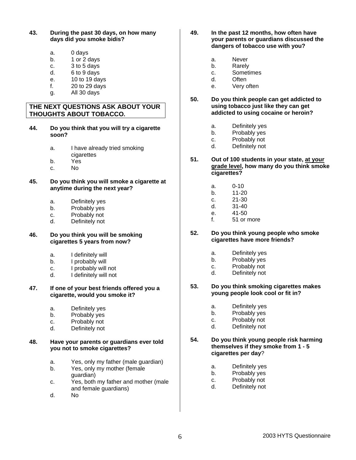- **43. During the past 30 days, on how many days did you smoke bidis?** 
	- a. 0 days
	- b. 1 or 2 days
	- c. 3 to 5 days
	- d. 6 to 9 days
	- e. 10 to 19 days
	- f. 20 to 29 days
	- g. All 30 days

## **THE NEXT QUESTIONS ASK ABOUT YOUR THOUGHTS ABOUT TOBACCO.**

- **44. Do you think that you will try a cigarette soon?** 
	- a. I have already tried smoking cigarettes
	- b. Yes
	- c. No
- **45. Do you think you will smoke a cigarette at anytime during the next year?** 
	- a. Definitely yes
	- b. Probably yes
	- c. Probably not
	- d. Definitely not

#### **46. Do you think you will be smoking cigarettes 5 years from now?**

- a. I definitely will
- b. I probably will
- c. I probably will not
- d. I definitely will not

#### **47. If one of your best friends offered you a cigarette, would you smoke it?**

- a. Definitely yes
- b. Probably yes
- c. Probably not
- d. Definitely not

#### **48. Have your parents or guardians ever told you not to smoke cigarettes?**

- a. Yes, only my father (male guardian)
- b. Yes, only my mother (female guardian)
- c. Yes, both my father and mother (male and female guardians)
- d. No
- **49. In the past 12 months, how often have your parents or guardians discussed the dangers of tobacco use with you?** 
	- a. Never
	- b. Rarely
	- c. Sometimes
	- d. Often
	- e. Very often
- **50. Do you think people can get addicted to using tobacco just like they can get addicted to using cocaine or heroin?**
	- a. Definitely yes
	- b. Probably yes
	- c. Probably not
	- d. Definitely not
- **51. Out of 100 students in your state, at your grade level, how many do you think smoke cigarettes?** 
	- a. 0-10
	- b. 11-20
	- c. 21-30
	- d. 31-40
	- e. 41-50
	- f. 51 or more
- **52. Do you think young people who smoke cigarettes have more friends?** 
	- a. Definitely yes
	- b. Probably yes
	- c. Probably not
	- d. Definitely not
- **53. Do you think smoking cigarettes makes young people look cool or fit in?** 
	- a. Definitely yes
	- b. Probably yes
	- c. Probably not
	- d. Definitely not
- **54. Do you think young people risk harming themselves if they smoke from 1 - 5 cigarettes per day**?
	- a. Definitely yes
	- b. Probably yes
	- c. Probably not
	- d. Definitely not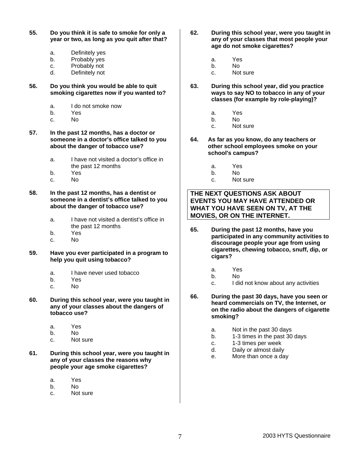- **55. Do you think it is safe to smoke for only a year or two, as long as you quit after that?** 
	- a. Definitely yes
	- b. Probably yes
	- c. Probably not
	- d. Definitely not
- **56. Do you think you would be able to quit smoking cigarettes now if you wanted to?** 
	- a. I do not smoke now
	- b. Yes
	- c. No
- **57. In the past 12 months, has a doctor or someone in a doctor's office talked to you about the danger of tobacco use?** 
	- a. I have not visited a doctor's office in the past 12 months
	- b. Yes
	- c. No

**58. In the past 12 months, has a dentist or someone in a dentist's office talked to you about the danger of tobacco use?** 

- a. I have not visited a dentist's office in the past 12 months
- b. Yes
- c. No
- **59. Have you ever participated in a program to help you quit using tobacco?** 
	- a. I have never used tobacco
	- b. Yes
	- c. No
- **60. During this school year, were you taught in any of your classes about the dangers of tobacco use?** 
	- a. Yes
	- b. No
	- c. Not sure
- **61. During this school year, were you taught in any of your classes the reasons why people your age smoke cigarettes?**
	- a. Yes
	- b. No
	- c. Not sure
- **62. During this school year, were you taught in any of your classes that most people your age do not smoke cigarettes?** 
	- a. Yes
	- b. No
	- c. Not sure
- **63. During this school year, did you practice ways to say NO to tobacco in any of your classes (for example by role-playing)?** 
	- a. Yes
	- b. No
	- c. Not sure
- **64. As far as you know, do any teachers or other school employees smoke on your school's campus?** 
	- a. Yes
	- b. No
	- c. Not sure

# **THE NEXT QUESTIONS ASK ABOUT EVENTS YOU MAY HAVE ATTENDED OR WHAT YOU HAVE SEEN ON TV, AT THE MOVIES, OR ON THE INTERNET.**

- **65. During the past 12 months, have you participated in any community activities to discourage people your age from using cigarettes, chewing tobacco, snuff, dip, or cigars?** 
	- a. Yes
	- b. No
	- c. I did not know about any activities
- **66. During the past 30 days, have you seen or heard commercials on TV, the Internet, or on the radio about the dangers of cigarette smoking?** 
	- a. Not in the past 30 days
	- b. 1-3 times in the past 30 days
	- c. 1-3 times per week
	- d. Daily or almost daily
	- e. More than once a day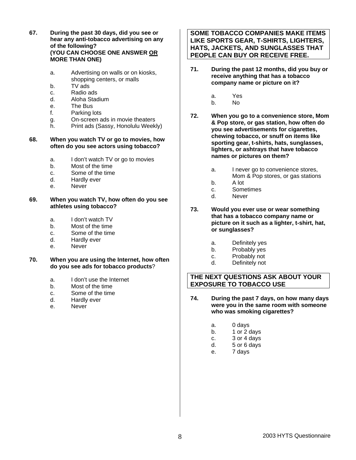- **67. During the past 30 days, did you see or hear any anti-tobacco advertising on any of the following? (YOU CAN CHOOSE ONE ANSWER OR MORE THAN ONE)** 
	- a. Advertising on walls or on kiosks, shopping centers, or malls
	- b. TV ads
	- c. Radio ads
	- d. Aloha Stadium
	- e. The Bus
	- f. Parking lots
	- g. On-screen ads in movie theaters
	- h. Print ads (Sassy, Honolulu Weekly)

#### **68. When you watch TV or go to movies, how often do you see actors using tobacco?**

- a. I don't watch TV or go to movies
- b. Most of the time
- c. Some of the time
- d. Hardly ever
- e. Never
- **69. When you watch TV, how often do you see athletes using tobacco?** 
	- a. I don't watch TV
	- b. Most of the time
	- c. Some of the time
	- d. Hardly ever
	- e. Never
- **70. When you are using the Internet, how often do you see ads for tobacco products**?
	- a. I don't use the Internet
	- b. Most of the time
	- c. Some of the time
	- d. Hardly ever
	- e. Never

# **SOME TOBACCO COMPANIES MAKE ITEMS LIKE SPORTS GEAR, T-SHIRTS, LIGHTERS, HATS, JACKETS, AND SUNGLASSES THAT PEOPLE CAN BUY OR RECEIVE FREE.**

- **71. During the past 12 months, did you buy or receive anything that has a tobacco company name or picture on it?** 
	- a. Yes
	- b. No
- **72. When you go to a convenience store, Mom & Pop store, or gas station, how often do you see advertisements for cigarettes, chewing tobacco, or snuff on items like sporting gear, t-shirts, hats, sunglasses, lighters, or ashtrays that have tobacco names or pictures on them?** 
	- a. I never go to convenience stores, Mom & Pop stores, or gas stations
	- b. A lot
	- c. Sometimes
	- d. Never
- **73. Would you ever use or wear something that has a tobacco company name or picture on it such as a lighter, t-shirt, hat, or sunglasses?** 
	- a. Definitely yes
	- b. Probably yes
	- c. Probably not
	- d. Definitely not

# **THE NEXT QUESTIONS ASK ABOUT YOUR EXPOSURE TO TOBACCO USE**

- **74. During the past 7 days, on how many days were you in the same room with someone who was smoking cigarettes?** 
	- a. 0 days
	- b. 1 or 2 days
	- c. 3 or 4 days
	- d. 5 or 6 days
	- e. 7 days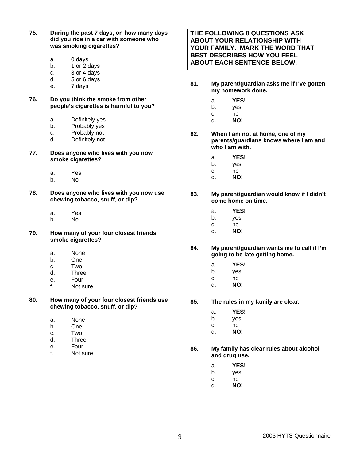**75. During the past 7 days, on how many days did you ride in a car with someone who was smoking cigarettes?** 

- a. 0 days
- b. 1 or 2 days
- c. 3 or 4 days
- d. 5 or 6 days
- e. 7 days
- **76. Do you think the smoke from other people's cigarettes is harmful to you?** 
	- a. Definitely yes
	- b. Probably yes
	- c. Probably not
	- d. Definitely not
- **77. Does anyone who lives with you now smoke cigarettes?** 
	- a. Yes
	- b. No
- **78. Does anyone who lives with you now use chewing tobacco, snuff, or dip?** 
	- a. Yes
	- b. No
- **79. How many of your four closest friends smoke cigarettes?** 
	- a. None
	- b. One
	- c. Two
	- d. Three
	- e. Four
	- f. Not sure
- **80. How many of your four closest friends use chewing tobacco, snuff, or dip?** 
	- a. None
	- b. One
	- c. Two
	- d. Three
	- e. Four
	- f. Not sure

**THE FOLLOWING 8 QUESTIONS ASK ABOUT YOUR RELATIONSHIP WITH YOUR FAMILY. MARK THE WORD THAT BEST DESCRIBES HOW YOU FEEL ABOUT EACH SENTENCE BELOW.**

- **81. My parent/guardian asks me if I've gotten my homework done.** 
	- a. **YES!**
	- b. yes
	- c**.** no
	- d. **NO!**
- **82. When I am not at home, one of my parents/guardians knows where I am and who I am with.** 
	- a. **YES!**
	- b. yes
	- c. no
	- d. **NO!**
- **83**. **My parent/guardian would know if I didn't come home on time.** 
	- a. **YES!**
	- b. yes
	- c. no
	- d. **NO!**
- **84. My parent/guardian wants me to call if I'm going to be late getting home.** 
	- a. **YES!**
	- b. yes
	- c. no
	- d. **NO!**
- **85. The rules in my family are clear.** 
	- a. **YES!**
	- b. yes
	- c. no
	- d. **NO!**
- **86. My family has clear rules about alcohol and drug use.** 
	- a. **YES!**
	- b. yes
	- c. no
	- d. **NO!**